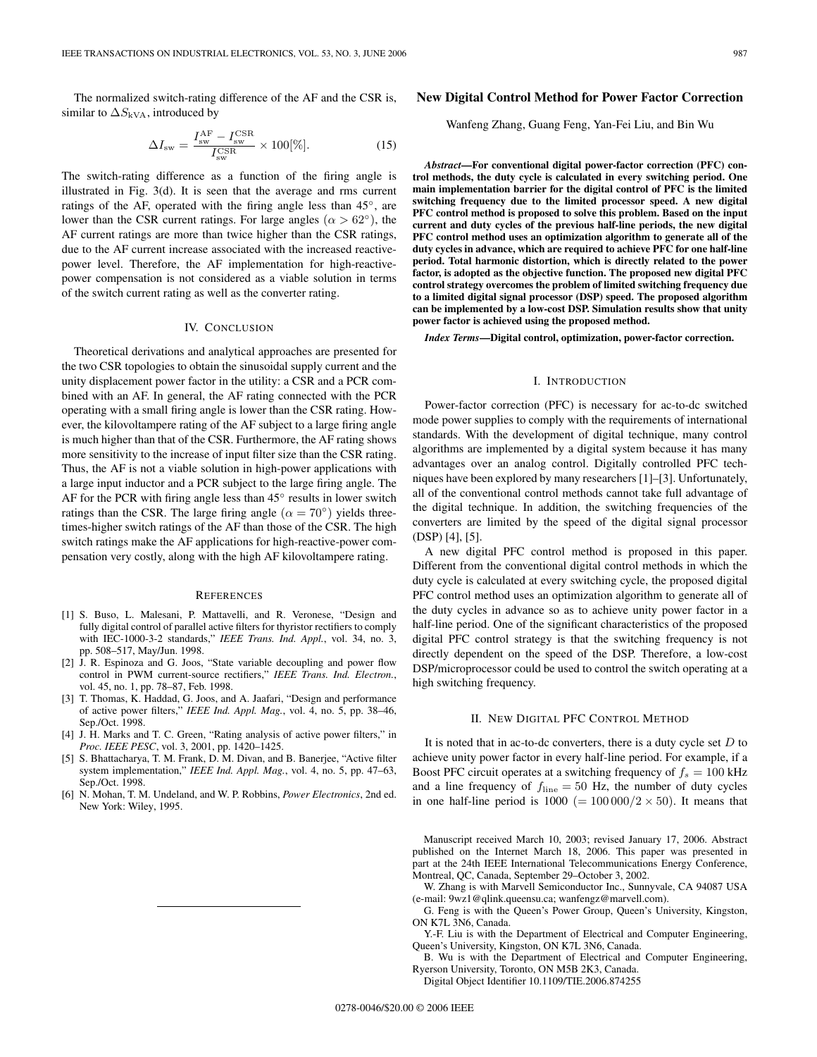The normalized switch-rating difference of the AF and the CSR is, similar to  $\Delta S_{kVA}$ , introduced by

$$
\Delta I_{\rm sw} = \frac{I_{\rm sw}^{\rm AF} - I_{\rm sw}^{\rm CSR}}{I_{\rm sw}^{\rm CSR}} \times 100[\%].
$$
 (15)

The switch-rating difference as a function of the firing angle is illustrated in Fig. 3(d). It is seen that the average and rms current ratings of the AF, operated with the firing angle less than 45◦, are lower than the CSR current ratings. For large angles ( $\alpha > 62°$ ), the AF current ratings are more than twice higher than the CSR ratings, due to the AF current increase associated with the increased reactivepower level. Therefore, the AF implementation for high-reactivepower compensation is not considered as a viable solution in terms of the switch current rating as well as the converter rating.

### IV. CONCLUSION

Theoretical derivations and analytical approaches are presented for the two CSR topologies to obtain the sinusoidal supply current and the unity displacement power factor in the utility: a CSR and a PCR combined with an AF. In general, the AF rating connected with the PCR operating with a small firing angle is lower than the CSR rating. However, the kilovoltampere rating of the AF subject to a large firing angle is much higher than that of the CSR. Furthermore, the AF rating shows more sensitivity to the increase of input filter size than the CSR rating. Thus, the AF is not a viable solution in high-power applications with a large input inductor and a PCR subject to the large firing angle. The AF for the PCR with firing angle less than 45◦ results in lower switch ratings than the CSR. The large firing angle ( $\alpha = 70^{\circ}$ ) yields threetimes-higher switch ratings of the AF than those of the CSR. The high switch ratings make the AF applications for high-reactive-power compensation very costly, along with the high AF kilovoltampere rating.

#### **REFERENCES**

- [1] S. Buso, L. Malesani, P. Mattavelli, and R. Veronese, "Design and fully digital control of parallel active filters for thyristor rectifiers to comply with IEC-1000-3-2 standards," *IEEE Trans. Ind. Appl.*, vol. 34, no. 3, pp. 508–517, May/Jun. 1998.
- [2] J. R. Espinoza and G. Joos, "State variable decoupling and power flow control in PWM current-source rectifiers," IEEE Trans. Ind. Electron., vol. 45, no. 1, pp. 78–87, Feb. 1998.
- [3] T. Thomas, K. Haddad, G. Joos, and A. Jaafari, "Design and performance of active power filters," *IEEE Ind. Appl. Mag.*, vol. 4, no. 5, pp. 38–46, Sep./Oct. 1998.
- [4] J. H. Marks and T. C. Green, "Rating analysis of active power filters," in *Proc. IEEE PESC*, vol. 3, 2001, pp. 1420–1425.
- [5] S. Bhattacharya, T. M. Frank, D. M. Divan, and B. Banerjee, "Active filter system implementation," *IEEE Ind. Appl. Mag.*, vol. 4, no. 5, pp. 47–63, Sep./Oct. 1998.
- [6] N. Mohan, T. M. Undeland, and W. P. Robbins, *Power Electronics*, 2nd ed. New York: Wiley, 1995.

# **New Digital Control Method for Power Factor Correction**

# Wanfeng Zhang, Guang Feng, Yan-Fei Liu, and Bin Wu

*Abstract***—For conventional digital power-factor correction (PFC) control methods, the duty cycle is calculated in every switching period.One main implementation barrier for the digital control of PFC is the limited switching frequency due to the limited processor speed.A new digital PFC control method is proposed to solve this problem.Based on the input current and duty cycles of the previous half-line periods, the new digital PFC control method uses an optimization algorithm to generate all of the duty cycles in advance, which are required to achieve PFC for one half-line period.Total harmonic distortion, which is directly related to the power factor, is adopted as the objective function.The proposed new digital PFC control strategy overcomes the problem of limited switching frequency due to a limited digital signal processor (DSP) speed.The proposed algorithm can be implemented by a low-cost DSP.Simulation results show that unity power factor is achieved using the proposed method.**

*Index Terms***—Digital control, optimization, power-factor correction.**

# I. INTRODUCTION

Power-factor correction (PFC) is necessary for ac-to-dc switched mode power supplies to comply with the requirements of international standards. With the development of digital technique, many control algorithms are implemented by a digital system because it has many advantages over an analog control. Digitally controlled PFC techniques have been explored by many researchers [1]–[3]. Unfortunately, all of the conventional control methods cannot take full advantage of the digital technique. In addition, the switching frequencies of the converters are limited by the speed of the digital signal processor (DSP) [4], [5].

A new digital PFC control method is proposed in this paper. Different from the conventional digital control methods in which the duty cycle is calculated at every switching cycle, the proposed digital PFC control method uses an optimization algorithm to generate all of the duty cycles in advance so as to achieve unity power factor in a half-line period. One of the significant characteristics of the proposed digital PFC control strategy is that the switching frequency is not directly dependent on the speed of the DSP. Therefore, a low-cost DSP/microprocessor could be used to control the switch operating at a high switching frequency.

# II. NEW DIGITAL PFC CONTROL METHOD

It is noted that in ac-to-dc converters, there is a duty cycle set  $D$  to achieve unity power factor in every half-line period. For example, if a Boost PFC circuit operates at a switching frequency of  $f_s = 100 \text{ kHz}$ and a line frequency of  $f_{\text{line}} = 50$  Hz, the number of duty cycles in one half-line period is  $1000 (= 100000/2 \times 50)$ . It means that

Manuscript received March 10, 2003; revised January 17, 2006. Abstract published on the Internet March 18, 2006. This paper was presented in part at the 24th IEEE International Telecommunications Energy Conference, Montreal, QC, Canada, September 29–October 3, 2002.

W. Zhang is with Marvell Semiconductor Inc., Sunnyvale, CA 94087 USA (e-mail: 9wz1@qlink.queensu.ca; wanfengz@marvell.com).

G. Feng is with the Queen's Power Group, Queen's University, Kingston, ON K7L 3N6, Canada.

Y.-F. Liu is with the Department of Electrical and Computer Engineering, Queen's University, Kingston, ON K7L 3N6, Canada.

B. Wu is with the Department of Electrical and Computer Engineering, Ryerson University, Toronto, ON M5B 2K3, Canada.

DigitalObject Identifier 10.1109/TIE.2006.874255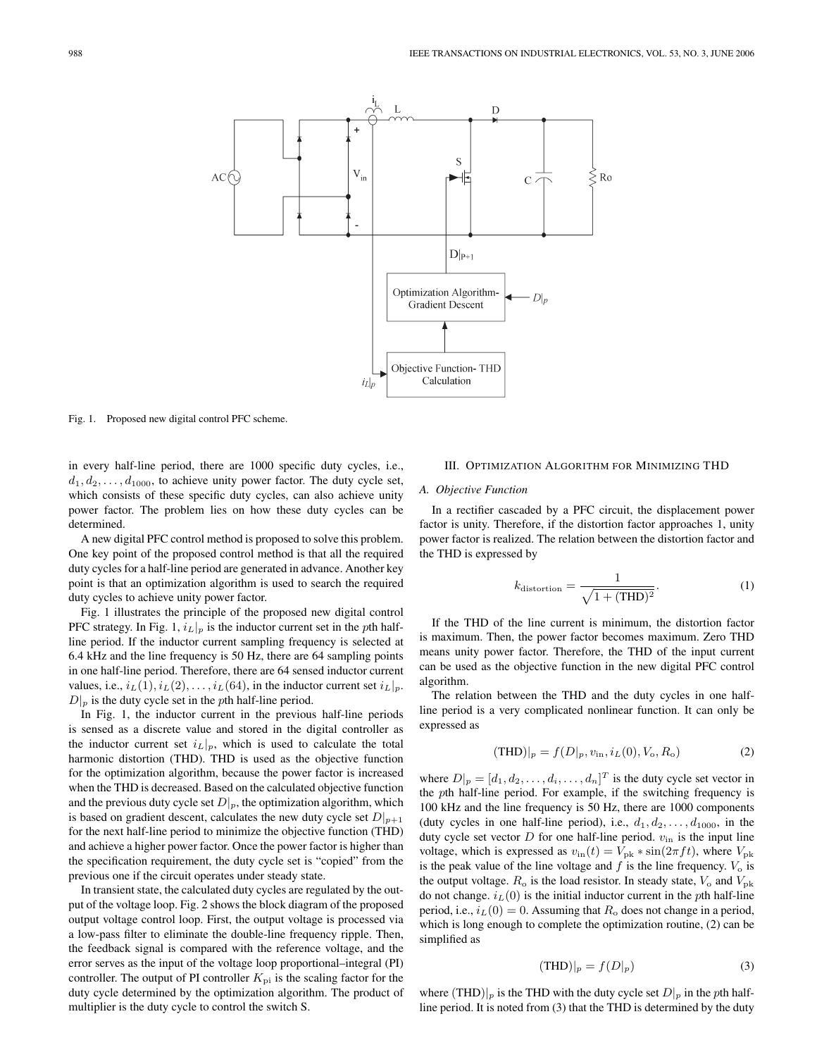

Fig. 1. Proposed new digital control PFC scheme.

in every half-line period, there are 1000 specific duty cycles, i.e.,  $d_1, d_2, \ldots, d_{1000}$ , to achieve unity power factor. The duty cycle set, which consists of these specific duty cycles, can also achieve unity power factor. The problem lies on how these duty cycles can be determined.

A new digital PFC control method is proposed to solve this problem. One key point of the proposed control method is that all the required duty cycles for a half-line period are generated in advance. Another key point is that an optimization algorithm is used to search the required duty cycles to achieve unity power factor.

Fig. 1 illustrates the principle of the proposed new digital control PFC strategy. In Fig. 1,  $i_L|_p$  is the inductor current set in the pth halfline period. If the inductor current sampling frequency is selected at 6.4 kHz and the line frequency is 50 Hz, there are 64 sampling points in one half-line period. Therefore, there are 64 sensed inductor current values, i.e.,  $i_L(1), i_L(2), \ldots, i_L(64)$ , in the inductor current set  $i_L|_p$ .  $D|_p$  is the duty cycle set in the pth half-line period.

In Fig. 1, the inductor current in the previous half-line periods is sensed as a discrete value and stored in the digital controller as the inductor current set  $i_L|_p$ , which is used to calculate the total harmonic distortion (THD). THD is used as the objective function for the optimization algorithm, because the power factor is increased when the THD is decreased. Based on the calculated objective function and the previous duty cycle set  $D|_p$ , the optimization algorithm, which is based on gradient descent, calculates the new duty cycle set  $D|_{p+1}$ for the next half-line period to minimize the objective function (THD) and achieve a higher power factor. Once the power factor is higher than the specification requirement, the duty cycle set is "copied" from the previous one if the circuit operates under steady state.

In transient state, the calculated duty cycles are regulated by the output of the voltage loop. Fig. 2 shows the block diagram of the proposed output voltage control loop. First, the output voltage is processed via a low-pass filter to eliminate the double-line frequency ripple. Then, the feedback signal is compared with the reference voltage, and the error serves as the input of the voltage loop proportional–integral (PI) controller. The output of PI controller  $K_{\text{pi}}$  is the scaling factor for the duty cycle determined by the optimization algorithm. The product of multiplier is the duty cycle to control the switch S.

### III. OPTIMIZATION ALGORITHM FOR MINIMIZING THD

### *A. Objective Function*

In a rectifier cascaded by a PFC circuit, the displacement power factor is unity. Therefore, if the distortion factor approaches 1, unity power factor is realized. The relation between the distortion factor and the THD is expressed by

$$
k_{\text{distortion}} = \frac{1}{\sqrt{1 + (\text{THD})^2}}.\tag{1}
$$

If the THD of the line current is minimum, the distortion factor is maximum. Then, the power factor becomes maximum. Zero THD means unity power factor. Therefore, the THD of the input current can be used as the objective function in the new digital PFC control algorithm.

The relation between the THD and the duty cycles in one halfline period is a very complicated nonlinear function. It can only be expressed as

$$
(\text{THD})|_{p} = f(D|_{p}, v_{\text{in}}, i_{L}(0), V_{\text{o}}, R_{\text{o}})
$$
 (2)

where  $D|_p = [d_1, d_2, \dots, d_i, \dots, d_n]^T$  is the duty cycle set vector in the pth half-line period. For example, if the switching frequency is 100 kHz and the line frequency is 50 Hz, there are 1000 components (duty cycles in one half-line period), i.e.,  $d_1, d_2, \ldots, d_{1000}$ , in the duty cycle set vector D for one half-line period.  $v_{\text{in}}$  is the input line voltage, which is expressed as  $v_{\text{in}}(t) = V_{\text{pk}} * \sin(2\pi ft)$ , where  $V_{\text{pk}}$ is the peak value of the line voltage and  $f$  is the line frequency.  $V_0$  is the output voltage.  $R_o$  is the load resistor. In steady state,  $V_o$  and  $V_{\text{pk}}$ do not change.  $i_L(0)$  is the initial inductor current in the pth half-line period, i.e.,  $i_L(0) = 0$ . Assuming that  $R_0$  does not change in a period, which is long enough to complete the optimization routine, (2) can be simplified as

$$
(\text{THD})|_p = f(D|_p) \tag{3}
$$

where  $(THD)|_p$  is the THD with the duty cycle set  $D|_p$  in the pth halfline period. It is noted from (3) that the THD is determined by the duty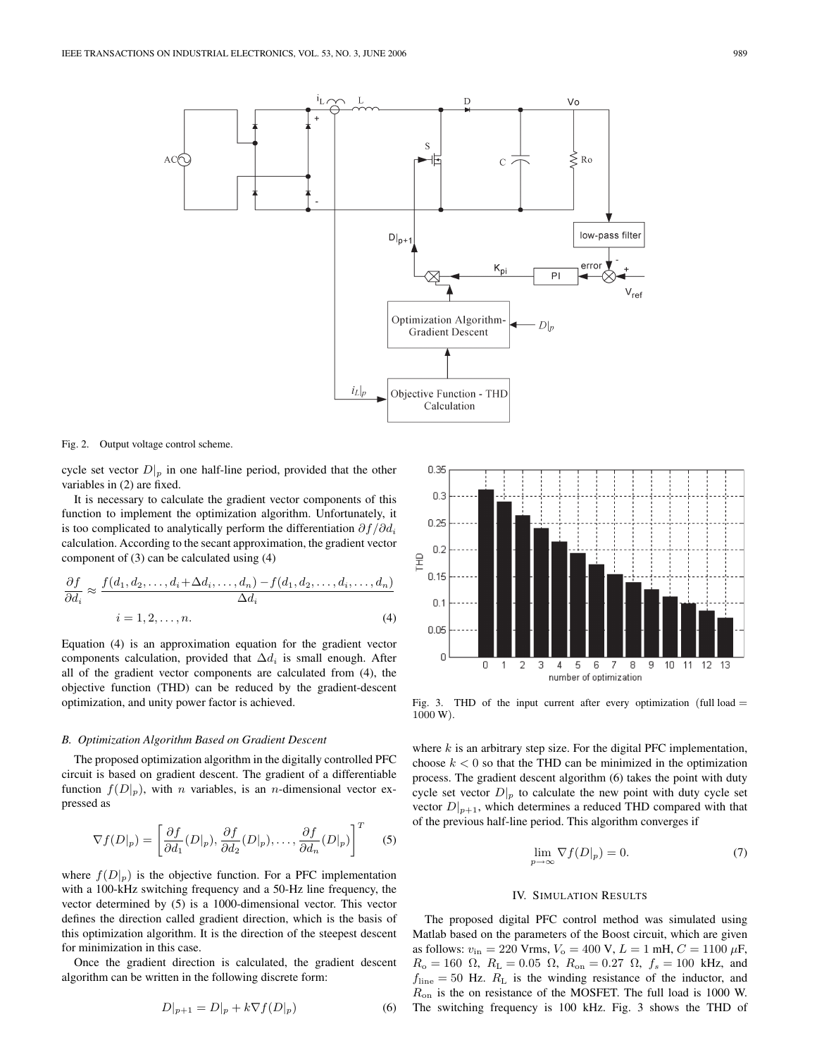

Fig. 2. Output voltage control scheme.

cycle set vector  $D|_p$  in one half-line period, provided that the other variables in (2) are fixed.

It is necessary to calculate the gradient vector components of this function to implement the optimization algorithm. Unfortunately, it is too complicated to analytically perform the differentiation  $\partial f / \partial d_i$ calculation. According to the secant approximation, the gradient vector component of (3) can be calculated using (4)

$$
\frac{\partial f}{\partial d_i} \approx \frac{f(d_1, d_2, \dots, d_i + \Delta d_i, \dots, d_n) - f(d_1, d_2, \dots, d_i, \dots, d_n)}{\Delta d_i}
$$
\n
$$
i = 1, 2, \dots, n. \tag{4}
$$

Equation (4) is an approximation equation for the gradient vector components calculation, provided that  $\Delta d_i$  is small enough. After all of the gradient vector components are calculated from (4), the objective function (THD) can be reduced by the gradient-descent optimization, and unity power factor is achieved.

#### *B. Optimization Algorithm Based on Gradient Descent*

The proposed optimization algorithm in the digitally controlled PFC circuit is based on gradient descent. The gradient of a differentiable function  $f(D|_p)$ , with *n* variables, is an *n*-dimensional vector expressed as

$$
\nabla f(D|_p) = \left[ \frac{\partial f}{\partial d_1}(D|_p), \frac{\partial f}{\partial d_2}(D|_p), \dots, \frac{\partial f}{\partial d_n}(D|_p) \right]^T \tag{5}
$$

where  $f(D|p)$  is the objective function. For a PFC implementation with a 100-kHz switching frequency and a 50-Hz line frequency, the vector determined by  $(5)$  is a 1000-dimensional vector. This vector defines the direction called gradient direction, which is the basis of this optimization algorithm. It is the direction of the steepest descent for minimization in this case.

Once the gradient direction is calculated, the gradient descent algorithm can be written in the following discrete form:

$$
D|_{p+1} = D|_{p} + k \nabla f(D|_{p})
$$
 (6)



Fig. 3. THD of the input current after every optimization (full load  $=$ 1000 W).

where  $k$  is an arbitrary step size. For the digital PFC implementation, choose  $k < 0$  so that the THD can be minimized in the optimization process. The gradient descent algorithm (6) takes the point with duty cycle set vector  $D|_p$  to calculate the new point with duty cycle set vector  $D|_{p+1}$ , which determines a reduced THD compared with that of the previous half-line period. This algorithm converges if

$$
\lim_{p \to \infty} \nabla f(D|_p) = 0. \tag{7}
$$

# IV. SIMULATION RESULTS

The proposed digital PFC control method was simulated using Matlab based on the parameters of the Boost circuit, which are given as follows:  $v_{\text{in}} = 220$  Vrms,  $V_{\text{o}} = 400$  V,  $L = 1$  mH,  $C = 1100 \mu\text{F}$ ,  $R_o = 160 \Omega$ ,  $R_L = 0.05 \Omega$ ,  $R_{on} = 0.27 \Omega$ ,  $f_s = 100 \text{ kHz}$ , and  $f_{\text{line}} = 50$  Hz.  $R_L$  is the winding resistance of the inductor, and  $R_{\text{on}}$  is the on resistance of the MOSFET. The full load is 1000 W. The switching frequency is 100 kHz. Fig. 3 shows the THD of